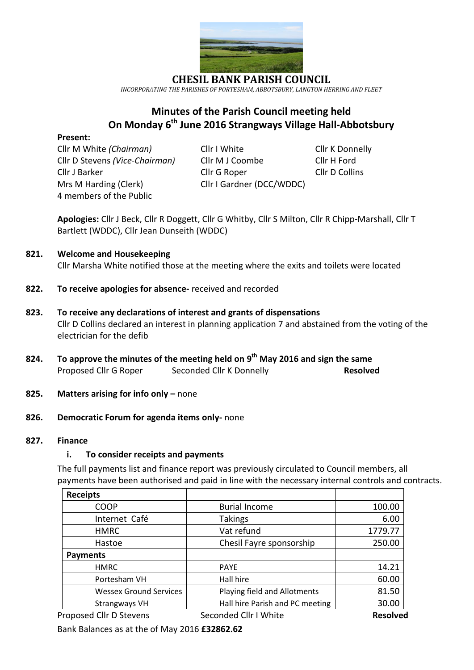

*INCORPORATING THE PARISHES OF PORTESHAM, ABBOTSBURY, LANGTON HERRING AND FLEET*

## **Minutes of the Parish Council meeting held On Monday 6 th June 2016 Strangways Village Hall-Abbotsbury**

#### **Present:**

Cllr M White *(Chairman)* Cllr I White Cllr Cllr K Donnelly Cllr D Stevens *(Vice-Chairman)* Cllr M J Coombe Cllr H Ford Cllr J Barker Cllr G Roper Cllr D Collins Mrs M Harding (Clerk) Cllr I Gardner (DCC/WDDC) 4 members of the Public

**Apologies:** Cllr J Beck, Cllr R Doggett, Cllr G Whitby, Cllr S Milton, Cllr R Chipp-Marshall, Cllr T Bartlett (WDDC), Cllr Jean Dunseith (WDDC)

#### **821. Welcome and Housekeeping**

Cllr Marsha White notified those at the meeting where the exits and toilets were located

- **822. To receive apologies for absence-** received and recorded
- **823. To receive any declarations of interest and grants of dispensations** Cllr D Collins declared an interest in planning application 7 and abstained from the voting of the electrician for the defib
- **824. To approve the minutes of the meeting held on 9 th May 2016 and sign the same** Proposed Cllr G Roper Seconded Cllr K Donnelly **Resolved**
- **825. Matters arising for info only –** none

#### **826. Democratic Forum for agenda items only-** none

#### **827. Finance**

#### **i. To consider receipts and payments**

The full payments list and finance report was previously circulated to Council members, all payments have been authorised and paid in line with the necessary internal controls and contracts.

| <b>Receipts</b>               |                                 |                 |
|-------------------------------|---------------------------------|-----------------|
| <b>COOP</b>                   | <b>Burial Income</b>            | 100.00          |
| Internet Café                 | <b>Takings</b>                  | 6.00            |
| <b>HMRC</b>                   | Vat refund                      | 1779.77         |
| Hastoe                        | Chesil Fayre sponsorship        | 250.00          |
| <b>Payments</b>               |                                 |                 |
| <b>HMRC</b>                   | <b>PAYE</b>                     | 14.21           |
| Portesham VH                  | Hall hire                       | 60.00           |
| <b>Wessex Ground Services</b> | Playing field and Allotments    | 81.50           |
| <b>Strangways VH</b>          | Hall hire Parish and PC meeting | 30.00           |
| Proposed Cllr D Stevens       | Seconded Cllr I White           | <b>Resolved</b> |

Bank Balances as at the of May 2016 **£32862.62**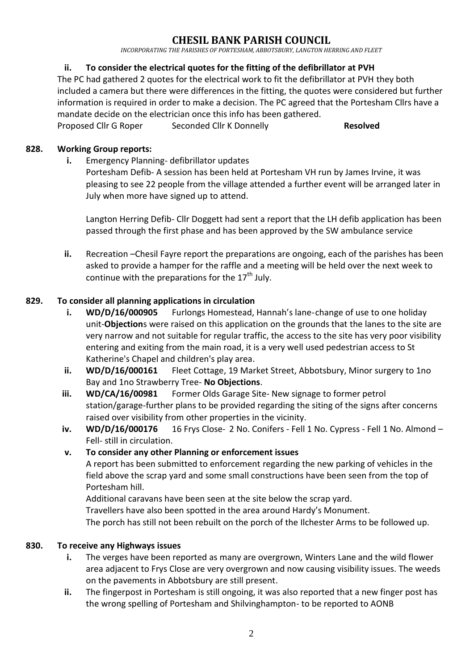*INCORPORATING THE PARISHES OF PORTESHAM, ABBOTSBURY, LANGTON HERRING AND FLEET*

## **ii. To consider the electrical quotes for the fitting of the defibrillator at PVH**

The PC had gathered 2 quotes for the electrical work to fit the defibrillator at PVH they both included a camera but there were differences in the fitting, the quotes were considered but further information is required in order to make a decision. The PC agreed that the Portesham Cllrs have a mandate decide on the electrician once this info has been gathered.

Proposed Cllr G Roper Seconded Cllr K Donnelly **Resolved** 

### **828. Working Group reports:**

**i.** Emergency Planning- defibrillator updates Portesham Defib- A session has been held at Portesham VH run by James Irvine, it was pleasing to see 22 people from the village attended a further event will be arranged later in July when more have signed up to attend.

Langton Herring Defib- Cllr Doggett had sent a report that the LH defib application has been passed through the first phase and has been approved by the SW ambulance service

**ii.** Recreation –Chesil Fayre report the preparations are ongoing, each of the parishes has been asked to provide a hamper for the raffle and a meeting will be held over the next week to continue with the preparations for the  $17<sup>th</sup>$  July.

## **829. To consider all planning applications in circulation**

- **i. WD/D/16/000905** Furlongs Homestead, Hannah's lane-change of use to one holiday unit-**Objection**s were raised on this application on the grounds that the lanes to the site are very narrow and not suitable for regular traffic, the access to the site has very poor visibility entering and exiting from the main road, it is a very well used pedestrian access to St Katherine's Chapel and children's play area.
- **ii. WD/D/16/000161** Fleet Cottage, 19 Market Street, Abbotsbury, Minor surgery to 1no Bay and 1no Strawberry Tree- **No Objections**.
- **iii. WD/CA/16/00981** Former Olds Garage Site- New signage to former petrol station/garage-further plans to be provided regarding the siting of the signs after concerns raised over visibility from other properties in the vicinity.
- **iv. WD/D/16/000176** 16 Frys Close- 2 No. Conifers Fell 1 No. Cypress Fell 1 No. Almond Fell- still in circulation.

### **v. To consider any other Planning or enforcement issues**

A report has been submitted to enforcement regarding the new parking of vehicles in the field above the scrap yard and some small constructions have been seen from the top of Portesham hill.

Additional caravans have been seen at the site below the scrap yard.

Travellers have also been spotted in the area around Hardy's Monument.

The porch has still not been rebuilt on the porch of the Ilchester Arms to be followed up.

### **830. To receive any Highways issues**

- **i.** The verges have been reported as many are overgrown, Winters Lane and the wild flower area adjacent to Frys Close are very overgrown and now causing visibility issues. The weeds on the pavements in Abbotsbury are still present.
- **ii.** The fingerpost in Portesham is still ongoing, it was also reported that a new finger post has the wrong spelling of Portesham and Shilvinghampton- to be reported to AONB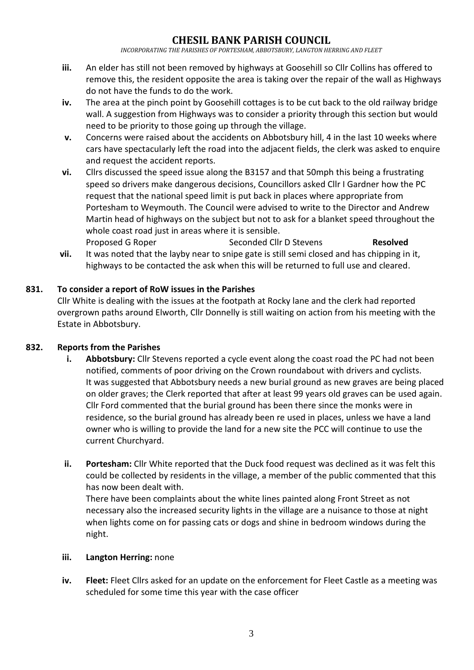*INCORPORATING THE PARISHES OF PORTESHAM, ABBOTSBURY, LANGTON HERRING AND FLEET*

- **iii.** An elder has still not been removed by highways at Goosehill so Cllr Collins has offered to remove this, the resident opposite the area is taking over the repair of the wall as Highways do not have the funds to do the work.
- **iv.** The area at the pinch point by Goosehill cottages is to be cut back to the old railway bridge wall. A suggestion from Highways was to consider a priority through this section but would need to be priority to those going up through the village.
- **v.** Concerns were raised about the accidents on Abbotsbury hill, 4 in the last 10 weeks where cars have spectacularly left the road into the adjacent fields, the clerk was asked to enquire and request the accident reports.
- **vi.** Cllrs discussed the speed issue along the B3157 and that 50mph this being a frustrating speed so drivers make dangerous decisions, Councillors asked Cllr I Gardner how the PC request that the national speed limit is put back in places where appropriate from Portesham to Weymouth. The Council were advised to write to the Director and Andrew Martin head of highways on the subject but not to ask for a blanket speed throughout the whole coast road just in areas where it is sensible. Proposed G Roper Seconded Cllr D Stevens **Resolved**
- **vii.** It was noted that the layby near to snipe gate is still semi closed and has chipping in it, highways to be contacted the ask when this will be returned to full use and cleared.

## **831. To consider a report of RoW issues in the Parishes**

Cllr White is dealing with the issues at the footpath at Rocky lane and the clerk had reported overgrown paths around Elworth, Cllr Donnelly is still waiting on action from his meeting with the Estate in Abbotsbury.

### **832. Reports from the Parishes**

- **i. Abbotsbury:** Cllr Stevens reported a cycle event along the coast road the PC had not been notified, comments of poor driving on the Crown roundabout with drivers and cyclists. It was suggested that Abbotsbury needs a new burial ground as new graves are being placed on older graves; the Clerk reported that after at least 99 years old graves can be used again. Cllr Ford commented that the burial ground has been there since the monks were in residence, so the burial ground has already been re used in places, unless we have a land owner who is willing to provide the land for a new site the PCC will continue to use the current Churchyard.
- **ii. Portesham:** Cllr White reported that the Duck food request was declined as it was felt this could be collected by residents in the village, a member of the public commented that this has now been dealt with. There have been complaints about the white lines painted along Front Street as not necessary also the increased security lights in the village are a nuisance to those at night

when lights come on for passing cats or dogs and shine in bedroom windows during the night.

#### **iii. Langton Herring:** none

**iv. Fleet:** Fleet Cllrs asked for an update on the enforcement for Fleet Castle as a meeting was scheduled for some time this year with the case officer